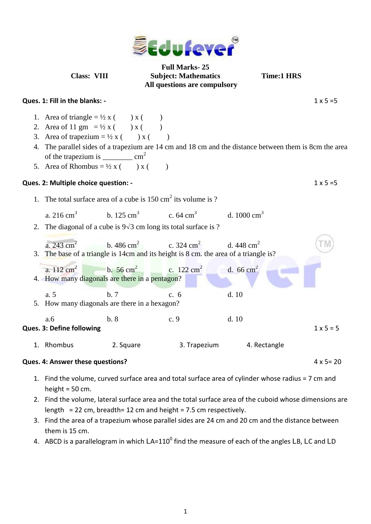

**Full Marks- 25 Class: VIII Subject: Mathematics Time:1 HRS All questions are compulsory**

## **Ques. 1: Fill in the blanks: -** 1 x 5 =5

- 1. Area of triangle =  $\frac{1}{2}x$  ( ) x ( )
- 2. Area of 11 gm =  $\frac{1}{2}x$  ( ) x ( )
- 3. Area of trapezium =  $\frac{1}{2}x$  ( ) x ( )
- 4. The parallel sides of a trapezium are 14 cm and 18 cm and the distance between them is 8cm the area of the trapezium is  $cm^2$
- 5. Area of Rhombus =  $\frac{1}{2}x$  ( ) x ( )

## **Ques. 2: Multiple choice question: -** 1 x 5 =5

- 1. The total surface area of a cube is  $150 \text{ cm}^2$  its volume is ?
	- a.  $216 \text{ cm}^3$ b.  $125 \text{ cm}^3$ c.  $64 \text{ cm}^3$ d.  $1000 \text{ cm}^3$
- 2. The diagonal of a cube is  $9\sqrt{3}$  cm long its total surface is ?



## **Ques. 4: Answer these questions?** 4 x 5 = 20

- 
- 1. Find the volume, curved surface area and total surface area of cylinder whose radius = 7 cm and height  $=$  50 cm.
- 2. Find the volume, lateral surface area and the total surface area of the cuboid whose dimensions are length = 22 cm, breadth= 12 cm and height = 7.5 cm respectively.
- 3. Find the area of a trapezium whose parallel sides are 24 cm and 20 cm and the distance between them is 15 cm.
- 4. ABCD is a parallelogram in which  $LA=110^0$  find the measure of each of the angles LB, LC and LD